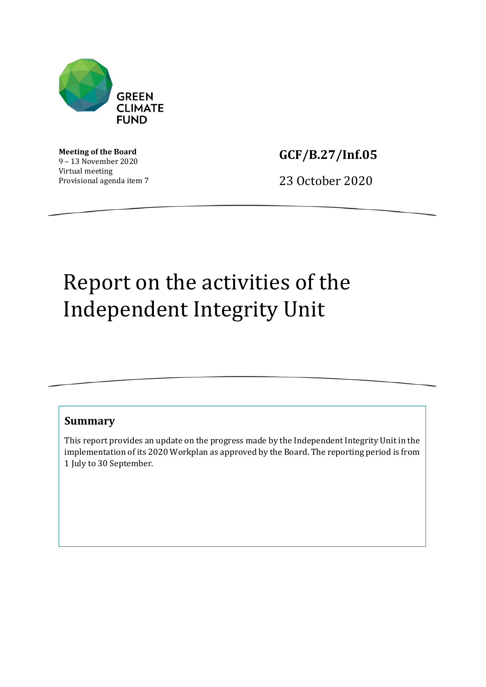

**Meeting of the Board** 9 – 13 November 2020 Virtual meeting Provisional agenda item 7 **GCF/B.27/Inf.05**

23 October 2020

# Report on the activities of the Independent Integrity Unit

## **Summary**

This report provides an update on the progress made by the Independent Integrity Unit in the implementation of its 2020 Workplan as approved by the Board. The reporting period is from 1 July to 30 September.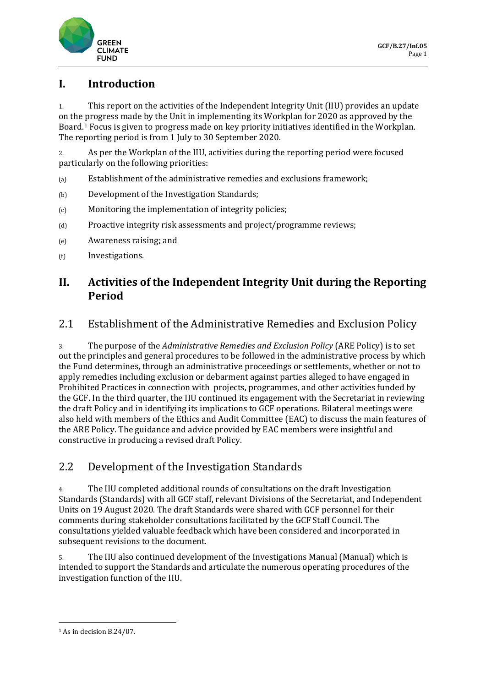

# **I. Introduction**

1. This report on the activities of the Independent Integrity Unit (IIU) provides an update on the progress made by the Unit in implementing its Workplan for 2020 as approved by the Board.[1](#page-1-0) Focus is given to progress made on key priority initiatives identified in the Workplan. The reporting period is from 1 July to 30 September 2020.

2. As per the Workplan of the IIU, activities during the reporting period were focused particularly on the following priorities:

- (a) Establishment of the administrative remedies and exclusions framework;
- (b) Development of the Investigation Standards;
- (c) Monitoring the implementation of integrity policies;
- (d) Proactive integrity risk assessments and project/programme reviews;
- (e) Awareness raising; and
- (f) Investigations.

## **II. Activities of the Independent Integrity Unit during the Reporting Period**

## 2.1 Establishment of the Administrative Remedies and Exclusion Policy

3. The purpose of the *Administrative Remedies and Exclusion Policy* (ARE Policy) is to set out the principles and general procedures to be followed in the administrative process by which the Fund determines, through an administrative proceedings or settlements, whether or not to apply remedies including exclusion or debarment against parties alleged to have engaged in Prohibited Practices in connection with projects, programmes, and other activities funded by the GCF. In the third quarter, the IIU continued its engagement with the Secretariat in reviewing the draft Policy and in identifying its implications to GCF operations. Bilateral meetings were also held with members of the Ethics and Audit Committee (EAC) to discuss the main features of the ARE Policy. The guidance and advice provided by EAC members were insightful and constructive in producing a revised draft Policy.

## 2.2 Development of the Investigation Standards

4. The IIU completed additional rounds of consultations on the draft Investigation Standards (Standards) with all GCF staff, relevant Divisions of the Secretariat, and Independent Units on 19 August 2020. The draft Standards were shared with GCF personnel for their comments during stakeholder consultations facilitated by the GCF Staff Council. The consultations yielded valuable feedback which have been considered and incorporated in subsequent revisions to the document.

5. The IIU also continued development of the Investigations Manual (Manual) which is intended to support the Standards and articulate the numerous operating procedures of the investigation function of the IIU.

<span id="page-1-0"></span><sup>1</sup> As in decision B.24/07.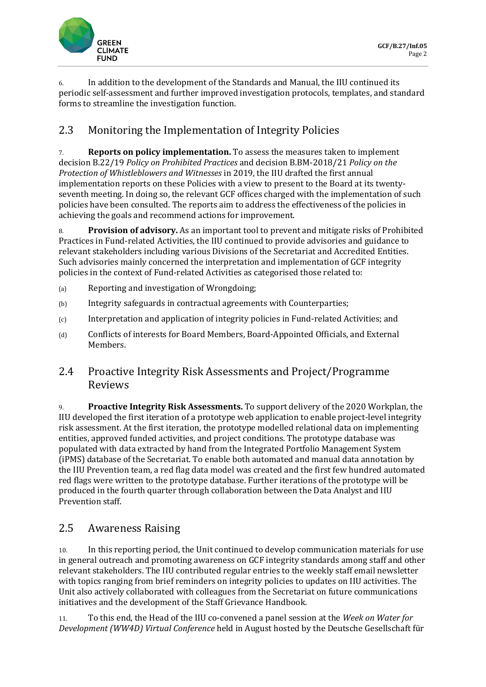

6. In addition to the development of the Standards and Manual, the IIU continued its periodic self-assessment and further improved investigation protocols, templates, and standard forms to streamline the investigation function.

# 2.3 Monitoring the Implementation of Integrity Policies

7. **Reports on policy implementation.** To assess the measures taken to implement decision B.22/19 *Policy on Prohibited Practices* and decision B.BM-2018/21 *Policy on the Protection of Whistleblowers and Witnesses* in 2019, the IIU drafted the first annual implementation reports on these Policies with a view to present to the Board at its twentyseventh meeting. In doing so, the relevant GCF offices charged with the implementation of such policies have been consulted. The reports aim to address the effectiveness of the policies in achieving the goals and recommend actions for improvement.

8. **Provision of advisory.** As an important tool to prevent and mitigate risks of Prohibited Practices in Fund-related Activities, the IIU continued to provide advisories and guidance to relevant stakeholders including various Divisions of the Secretariat and Accredited Entities. Such advisories mainly concerned the interpretation and implementation of GCF integrity policies in the context of Fund-related Activities as categorised those related to:

- (a) Reporting and investigation of Wrongdoing;
- (b) Integrity safeguards in contractual agreements with Counterparties;
- (c) Interpretation and application of integrity policies in Fund-related Activities; and
- (d) Conflicts of interests for Board Members, Board-Appointed Officials, and External Members.

## 2.4 Proactive Integrity Risk Assessments and Project/Programme Reviews

9. **Proactive Integrity Risk Assessments.** To support delivery of the 2020 Workplan, the IIU developed the first iteration of a prototype web application to enable project-level integrity risk assessment. At the first iteration, the prototype modelled relational data on implementing entities, approved funded activities, and project conditions. The prototype database was populated with data extracted by hand from the Integrated Portfolio Management System (iPMS) database of the Secretariat. To enable both automated and manual data annotation by the IIU Prevention team, a red flag data model was created and the first few hundred automated red flags were written to the prototype database. Further iterations of the prototype will be produced in the fourth quarter through collaboration between the Data Analyst and IIU Prevention staff.

## 2.5 Awareness Raising

10. In this reporting period, the Unit continued to develop communication materials for use in general outreach and promoting awareness on GCF integrity standards among staff and other relevant stakeholders. The IIU contributed regular entries to the weekly staff email newsletter with topics ranging from brief reminders on integrity policies to updates on IIU activities. The Unit also actively collaborated with colleagues from the Secretariat on future communications initiatives and the development of the Staff Grievance Handbook.

11. To this end, the Head of the IIU co-convened a panel session at the *Week on Water for Development (WW4D) Virtual Conference* held in August hosted by the Deutsche Gesellschaft für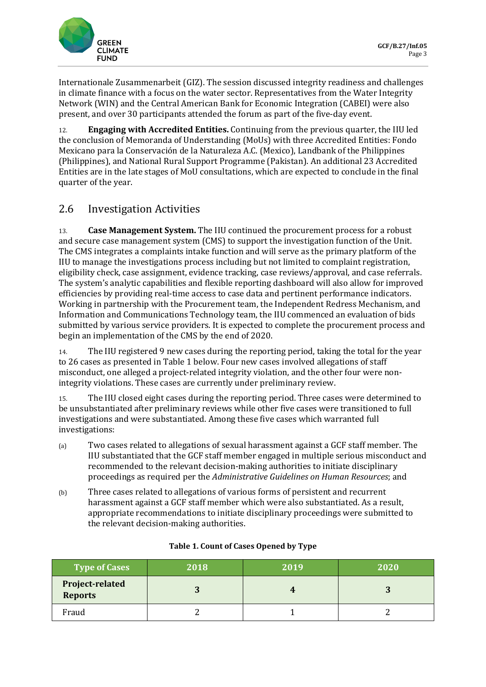

Internationale Zusammenarbeit (GIZ). The session discussed integrity readiness and challenges in climate finance with a focus on the water sector. Representatives from the Water Integrity Network (WIN) and the Central American Bank for Economic Integration (CABEI) were also present, and over 30 participants attended the forum as part of the five-day event.

12. **Engaging with Accredited Entities.** Continuing from the previous quarter, the IIU led the conclusion of Memoranda of Understanding (MoUs) with three Accredited Entities: Fondo Mexicano para la Conservación de la Naturaleza A.C. (Mexico), Landbank of the Philippines (Philippines), and National Rural Support Programme (Pakistan). An additional 23 Accredited Entities are in the late stages of MoU consultations, which are expected to conclude in the final quarter of the year.

# 2.6 Investigation Activities

13. **Case Management System.** The IIU continued the procurement process for a robust and secure case management system (CMS) to support the investigation function of the Unit. The CMS integrates a complaints intake function and will serve as the primary platform of the IIU to manage the investigations process including but not limited to complaint registration, eligibility check, case assignment, evidence tracking, case reviews/approval, and case referrals. The system's analytic capabilities and flexible reporting dashboard will also allow for improved efficiencies by providing real-time access to case data and pertinent performance indicators. Working in partnership with the Procurement team, the Independent Redress Mechanism, and Information and Communications Technology team, the IIU commenced an evaluation of bids submitted by various service providers. It is expected to complete the procurement process and begin an implementation of the CMS by the end of 2020.

14. The IIU registered 9 new cases during the reporting period, taking the total for the year to 26 cases as presented in Table 1 below. Four new cases involved allegations of staff misconduct, one alleged a project-related integrity violation, and the other four were nonintegrity violations. These cases are currently under preliminary review.

15. The IIU closed eight cases during the reporting period. Three cases were determined to be unsubstantiated after preliminary reviews while other five cases were transitioned to full investigations and were substantiated. Among these five cases which warranted full investigations:

- (a) Two cases related to allegations of sexual harassment against a GCF staff member. The IIU substantiated that the GCF staff member engaged in multiple serious misconduct and recommended to the relevant decision-making authorities to initiate disciplinary proceedings as required per the *Administrative Guidelines on Human Resources*; and
- (b) Three cases related to allegations of various forms of persistent and recurrent harassment against a GCF staff member which were also substantiated. As a result, appropriate recommendations to initiate disciplinary proceedings were submitted to the relevant decision-making authorities.

| <b>Type of Cases</b>              | 2018 | 2019 | 2020 |
|-----------------------------------|------|------|------|
| Project-related<br><b>Reports</b> | C    |      |      |
| Fraud                             |      |      |      |

### **Table 1. Count of Cases Opened by Type**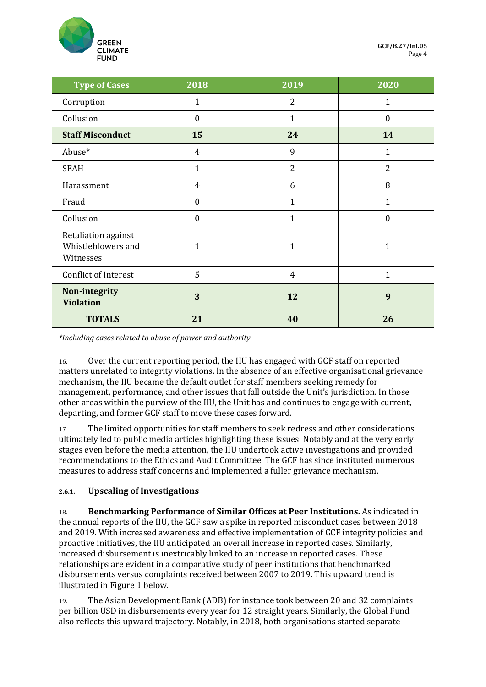

| <b>Type of Cases</b>                                   | 2018           | 2019           | 2020           |
|--------------------------------------------------------|----------------|----------------|----------------|
| Corruption                                             | $\mathbf{1}$   | 2              | $\mathbf{1}$   |
| Collusion                                              | $\mathbf{0}$   | 1              | $\mathbf{0}$   |
| <b>Staff Misconduct</b>                                | 15             | 24             | 14             |
| Abuse*                                                 | $\overline{4}$ | 9              | 1              |
| <b>SEAH</b>                                            | $\mathbf{1}$   | $\overline{2}$ | $\overline{2}$ |
| Harassment                                             | $\overline{4}$ | 6              | 8              |
| Fraud                                                  | $\mathbf{0}$   | 1              | 1              |
| Collusion                                              | $\mathbf{0}$   | 1              | $\Omega$       |
| Retaliation against<br>Whistleblowers and<br>Witnesses | 1              | 1              | 1              |
| <b>Conflict of Interest</b>                            | 5              | $\overline{4}$ | 1              |
| Non-integrity<br><b>Violation</b>                      | 3              | 12             | 9              |
| <b>TOTALS</b>                                          | 21             | 40             | 26             |

*\*Including cases related to abuse of power and authority*

16. Over the current reporting period, the IIU has engaged with GCF staff on reported matters unrelated to integrity violations. In the absence of an effective organisational grievance mechanism, the IIU became the default outlet for staff members seeking remedy for management, performance, and other issues that fall outside the Unit's jurisdiction. In those other areas within the purview of the IIU, the Unit has and continues to engage with current, departing, and former GCF staff to move these cases forward.

17. The limited opportunities for staff members to seek redress and other considerations ultimately led to public media articles highlighting these issues. Notably and at the very early stages even before the media attention, the IIU undertook active investigations and provided recommendations to the Ethics and Audit Committee. The GCF has since instituted numerous measures to address staff concerns and implemented a fuller grievance mechanism.

### **2.6.1. Upscaling of Investigations**

18. **Benchmarking Performance of Similar Offices at Peer Institutions.** As indicated in the annual reports of the IIU, the GCF saw a spike in reported misconduct cases between 2018 and 2019. With increased awareness and effective implementation of GCF integrity policies and proactive initiatives, the IIU anticipated an overall increase in reported cases. Similarly, increased disbursement is inextricably linked to an increase in reported cases. These relationships are evident in a comparative study of peer institutions that benchmarked disbursements versus complaints received between 2007 to 2019. This upward trend is illustrated in Figure 1 below.

19. The Asian Development Bank (ADB) for instance took between 20 and 32 complaints per billion USD in disbursements every year for 12 straight years. Similarly, the Global Fund also reflects this upward trajectory. Notably, in 2018, both organisations started separate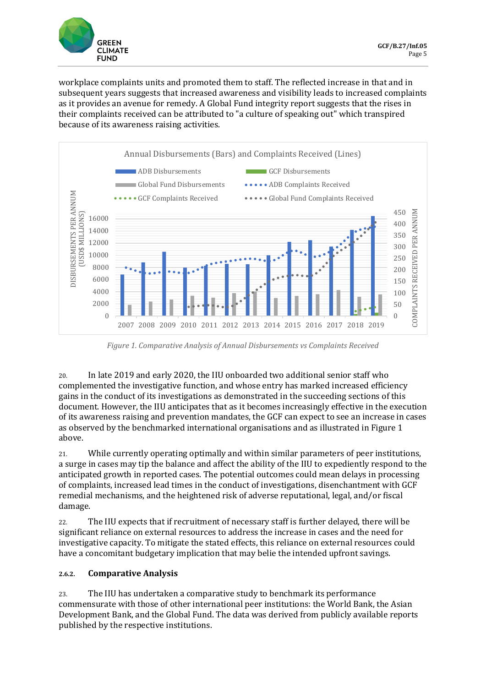

workplace complaints units and promoted them to staff. The reflected increase in that and in subsequent years suggests that increased awareness and visibility leads to increased complaints as it provides an avenue for remedy. A Global Fund integrity report suggests that the rises in their complaints received can be attributed to "a culture of speaking out" which transpired because of its awareness raising activities.



*Figure 1. Comparative Analysis of Annual Disbursements vs Complaints Received*

20. In late 2019 and early 2020, the IIU onboarded two additional senior staff who complemented the investigative function, and whose entry has marked increased efficiency gains in the conduct of its investigations as demonstrated in the succeeding sections of this document. However, the IIU anticipates that as it becomes increasingly effective in the execution of its awareness raising and prevention mandates, the GCF can expect to see an increase in cases as observed by the benchmarked international organisations and as illustrated in Figure 1 above.

21. While currently operating optimally and within similar parameters of peer institutions, a surge in cases may tip the balance and affect the ability of the IIU to expediently respond to the anticipated growth in reported cases. The potential outcomes could mean delays in processing of complaints, increased lead times in the conduct of investigations, disenchantment with GCF remedial mechanisms, and the heightened risk of adverse reputational, legal, and/or fiscal damage.

22. The IIU expects that if recruitment of necessary staff is further delayed, there will be significant reliance on external resources to address the increase in cases and the need for investigative capacity. To mitigate the stated effects, this reliance on external resources could have a concomitant budgetary implication that may belie the intended upfront savings.

### **2.6.2. Comparative Analysis**

23. The IIU has undertaken a comparative study to benchmark its performance commensurate with those of other international peer institutions: the World Bank, the Asian Development Bank, and the Global Fund. The data was derived from publicly available reports published by the respective institutions.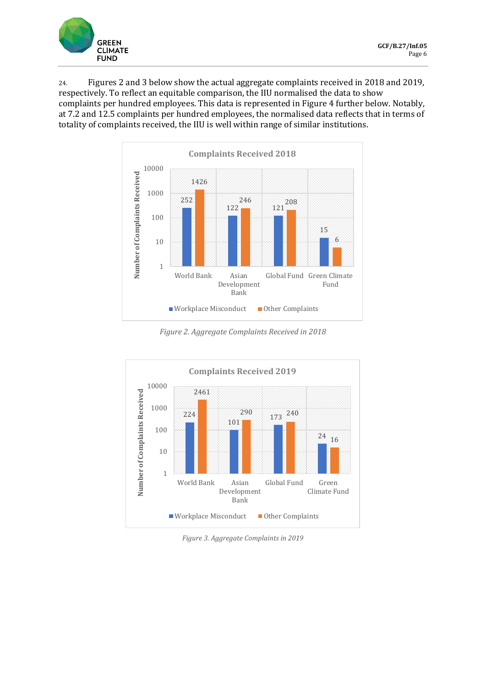

24. Figures 2 and 3 below show the actual aggregate complaints received in 2018 and 2019, respectively. To reflect an equitable comparison, the IIU normalised the data to show complaints per hundred employees. This data is represented in Figure 4 further below. Notably, at 7.2 and 12.5 complaints per hundred employees, the normalised data reflects that in terms of totality of complaints received, the IIU is well within range of similar institutions.



*Figure 2. Aggregate Complaints Received in 2018*



*Figure 3. Aggregate Complaints in 2019*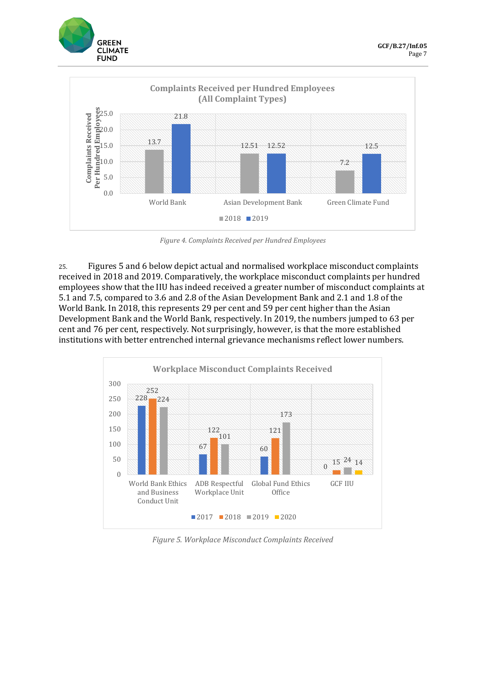



*Figure 4. Complaints Received per Hundred Employees*

25. Figures 5 and 6 below depict actual and normalised workplace misconduct complaints received in 2018 and 2019. Comparatively, the workplace misconduct complaints per hundred employees show that the IIU has indeed received a greater number of misconduct complaints at 5.1 and 7.5, compared to 3.6 and 2.8 of the Asian Development Bank and 2.1 and 1.8 of the World Bank. In 2018, this represents 29 per cent and 59 per cent higher than the Asian Development Bank and the World Bank, respectively. In 2019, the numbers jumped to 63 per cent and 76 per cent, respectively. Not surprisingly, however, is that the more established institutions with better entrenched internal grievance mechanisms reflect lower numbers.



*Figure 5. Workplace Misconduct Complaints Received*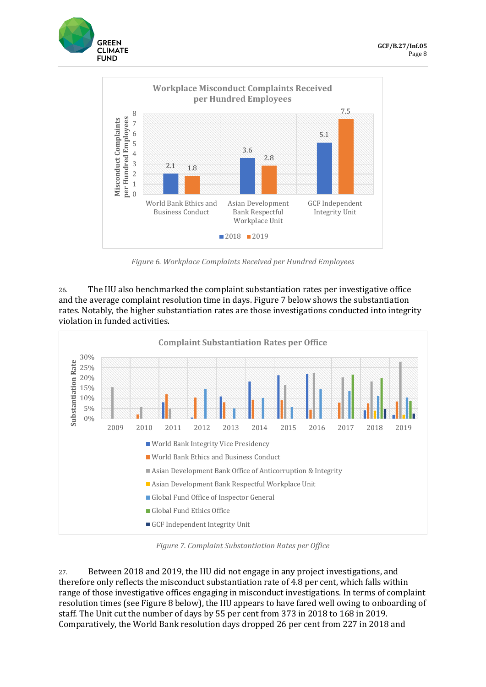



*Figure 6. Workplace Complaints Received per Hundred Employees*

26. The IIU also benchmarked the complaint substantiation rates per investigative office and the average complaint resolution time in days. Figure 7 below shows the substantiation rates. Notably, the higher substantiation rates are those investigations conducted into integrity violation in funded activities.



*Figure 7. Complaint Substantiation Rates per Office*

27. Between 2018 and 2019, the IIU did not engage in any project investigations, and therefore only reflects the misconduct substantiation rate of 4.8 per cent, which falls within range of those investigative offices engaging in misconduct investigations. In terms of complaint resolution times (see Figure 8 below), the IIU appears to have fared well owing to onboarding of staff. The Unit cut the number of days by 55 per cent from 373 in 2018 to 168 in 2019. Comparatively, the World Bank resolution days dropped 26 per cent from 227 in 2018 and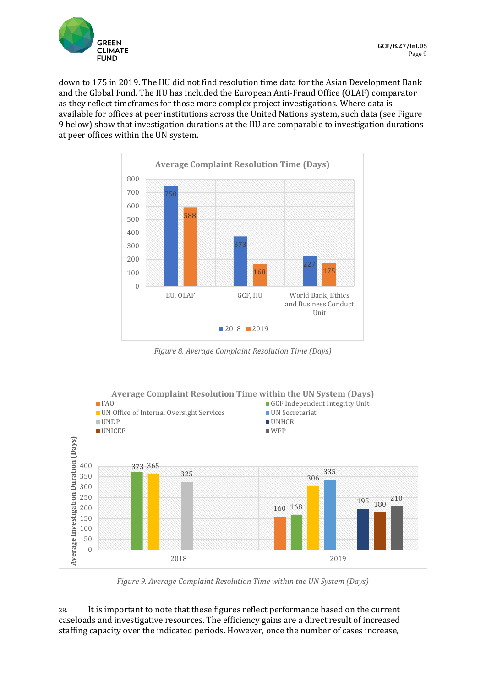

down to 175 in 2019. The IIU did not find resolution time data for the Asian Development Bank and the Global Fund. The IIU has included the European Anti-Fraud Office (OLAF) comparator as they reflect timeframes for those more complex project investigations. Where data is available for offices at peer institutions across the United Nations system, such data (see Figure 9 below) show that investigation durations at the IIU are comparable to investigation durations at peer offices within the UN system.



*Figure 8. Average Complaint Resolution Time (Days)*



*Figure 9. Average Complaint Resolution Time within the UN System (Days)*

28. It is important to note that these figures reflect performance based on the current caseloads and investigative resources. The efficiency gains are a direct result of increased staffing capacity over the indicated periods. However, once the number of cases increase,